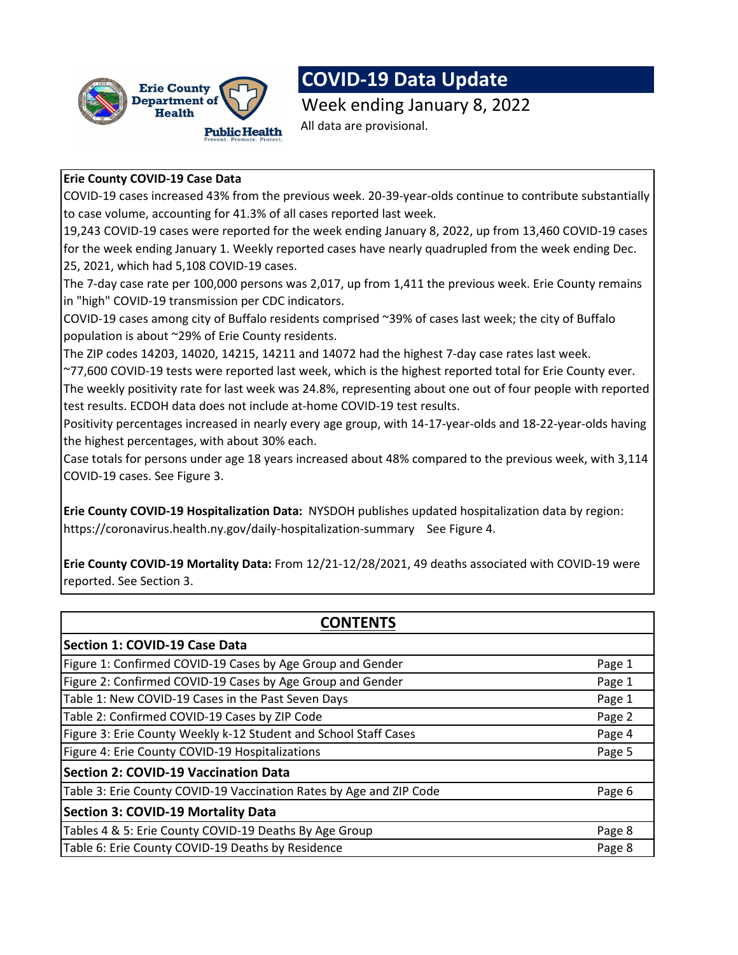

# **COVID-19 Data Update**

Week ending January 8, 2022 All data are provisional.

#### **Erie County COVID-19 Case Data**

COVID-19 cases increased 43% from the previous week. 20-39-year-olds continue to contribute substantially to case volume, accounting for 41.3% of all cases reported last week.

19,243 COVID-19 cases were reported for the week ending January 8, 2022, up from 13,460 COVID-19 cases for the week ending January 1. Weekly reported cases have nearly quadrupled from the week ending Dec. 25, 2021, which had 5,108 COVID-19 cases.

The 7-day case rate per 100,000 persons was 2,017, up from 1,411 the previous week. Erie County remains in "high" COVID-19 transmission per CDC indicators.

COVID-19 cases among city of Buffalo residents comprised ~39% of cases last week; the city of Buffalo population is about ~29% of Erie County residents.

The ZIP codes 14203, 14020, 14215, 14211 and 14072 had the highest 7-day case rates last week.

~77,600 COVID-19 tests were reported last week, which is the highest reported total for Erie County ever. The weekly positivity rate for last week was 24.8%, representing about one out of four people with reported test results. ECDOH data does not include at-home COVID-19 test results.

Positivity percentages increased in nearly every age group, with 14-17-year-olds and 18-22-year-olds having the highest percentages, with about 30% each.

Case totals for persons under age 18 years increased about 48% compared to the previous week, with 3,114 COVID-19 cases. See Figure 3.

**Erie County COVID-19 Hospitalization Data:** NYSDOH publishes updated hospitalization data by region: https://coronavirus.health.ny.gov/daily-hospitalization-summarySee Figure 4.

**Erie County COVID-19 Mortality Data:** From 12/21-12/28/2021, 49 deaths associated with COVID-19 were reported. See Section 3.

| <b>CONTENTS</b>                                                     |        |  |  |  |  |  |  |  |
|---------------------------------------------------------------------|--------|--|--|--|--|--|--|--|
| <b>Section 1: COVID-19 Case Data</b>                                |        |  |  |  |  |  |  |  |
| Figure 1: Confirmed COVID-19 Cases by Age Group and Gender          | Page 1 |  |  |  |  |  |  |  |
| Figure 2: Confirmed COVID-19 Cases by Age Group and Gender          | Page 1 |  |  |  |  |  |  |  |
| Table 1: New COVID-19 Cases in the Past Seven Days                  | Page 1 |  |  |  |  |  |  |  |
| Table 2: Confirmed COVID-19 Cases by ZIP Code                       | Page 2 |  |  |  |  |  |  |  |
| Figure 3: Erie County Weekly k-12 Student and School Staff Cases    | Page 4 |  |  |  |  |  |  |  |
| Figure 4: Erie County COVID-19 Hospitalizations                     | Page 5 |  |  |  |  |  |  |  |
| <b>Section 2: COVID-19 Vaccination Data</b>                         |        |  |  |  |  |  |  |  |
| Table 3: Erie County COVID-19 Vaccination Rates by Age and ZIP Code | Page 6 |  |  |  |  |  |  |  |
| <b>Section 3: COVID-19 Mortality Data</b>                           |        |  |  |  |  |  |  |  |
| Tables 4 & 5: Erie County COVID-19 Deaths By Age Group              | Page 8 |  |  |  |  |  |  |  |
| Table 6: Erie County COVID-19 Deaths by Residence                   | Page 8 |  |  |  |  |  |  |  |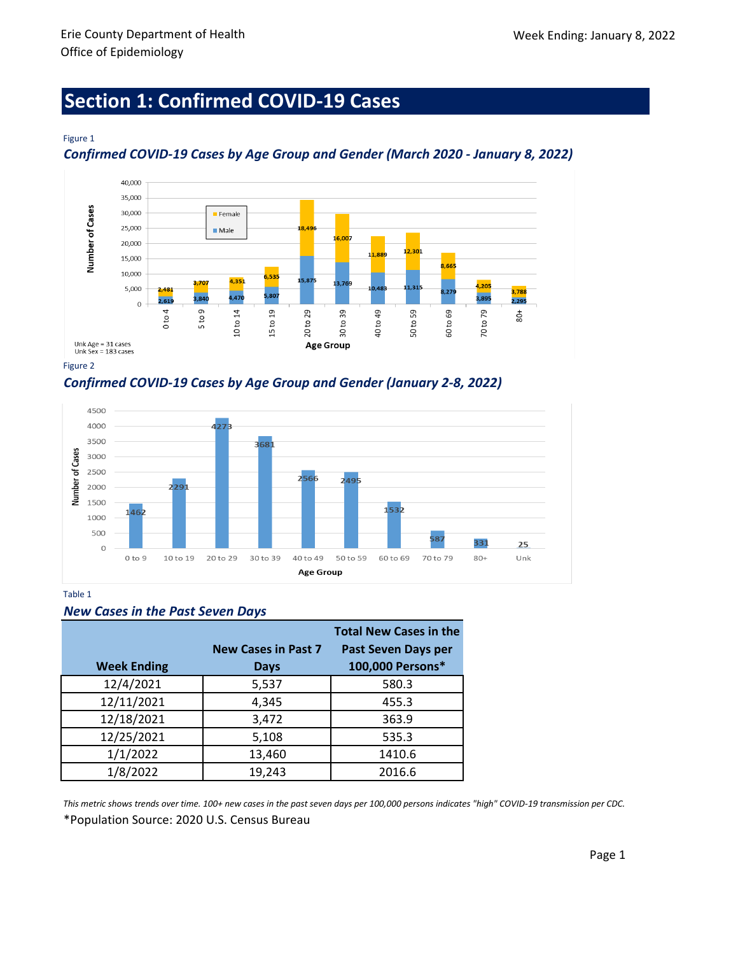# **Section 1: Confirmed COVID-19 Cases**

#### Figure 1

*Confirmed COVID-19 Cases by Age Group and Gender (March 2020 - January 8, 2022)*



Figure 2

*Confirmed COVID-19 Cases by Age Group and Gender (January 2-8, 2022)*



Table 1

|  |  |  |  |  | <b>New Cases in the Past Seven Days</b> |  |
|--|--|--|--|--|-----------------------------------------|--|
|--|--|--|--|--|-----------------------------------------|--|

|                    |                            | <b>Total New Cases in the</b> |
|--------------------|----------------------------|-------------------------------|
|                    | <b>New Cases in Past 7</b> | <b>Past Seven Days per</b>    |
| <b>Week Ending</b> | <b>Days</b>                | 100,000 Persons*              |
| 12/4/2021          | 5,537                      | 580.3                         |
| 12/11/2021         | 4,345                      | 455.3                         |
| 12/18/2021         | 3,472                      | 363.9                         |
| 12/25/2021         | 5,108                      | 535.3                         |
| 1/1/2022           | 13,460                     | 1410.6                        |
| 1/8/2022           | 19,243                     | 2016.6                        |

\*Population Source: 2020 U.S. Census Bureau *This metric shows trends over time. 100+ new cases in the past seven days per 100,000 persons indicates "high" COVID-19 transmission per CDC.*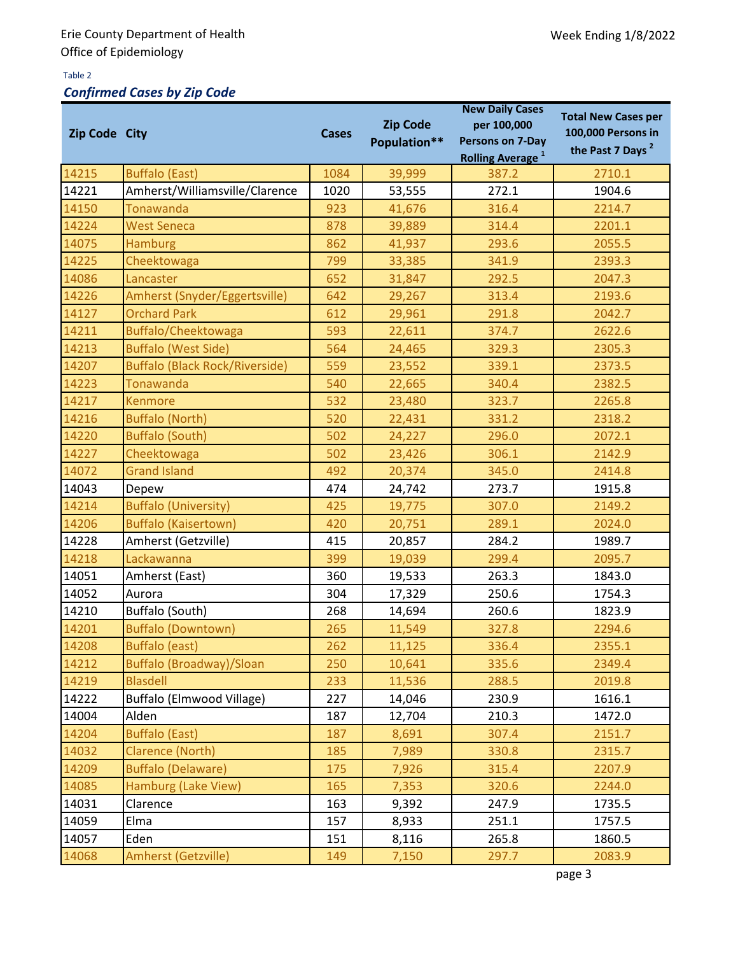#### Table 2

## *Confirmed Cases by Zip Code*

| Zip Code City |                                       | <b>Cases</b> | <b>Zip Code</b><br>Population** | <b>New Daily Cases</b><br>per 100,000<br>Persons on 7-Day<br><b>Rolling Average</b> <sup>1</sup> | <b>Total New Cases per</b><br>100,000 Persons in<br>the Past 7 Days <sup>2</sup> |  |
|---------------|---------------------------------------|--------------|---------------------------------|--------------------------------------------------------------------------------------------------|----------------------------------------------------------------------------------|--|
| 14215         | <b>Buffalo (East)</b>                 | 1084         | 39,999                          | 387.2                                                                                            | 2710.1                                                                           |  |
| 14221         | Amherst/Williamsville/Clarence        | 1020         | 53,555                          | 272.1                                                                                            | 1904.6                                                                           |  |
| 14150         | <b>Tonawanda</b>                      | 923          | 41,676                          | 316.4                                                                                            | 2214.7                                                                           |  |
| 14224         | <b>West Seneca</b>                    | 878          | 39,889                          | 314.4                                                                                            | 2201.1                                                                           |  |
| 14075         | <b>Hamburg</b>                        | 862          | 41,937                          | 293.6                                                                                            | 2055.5                                                                           |  |
| 14225         | Cheektowaga                           | 799          | 33,385                          | 341.9                                                                                            | 2393.3                                                                           |  |
| 14086         | Lancaster                             | 652          | 31,847                          | 292.5                                                                                            | 2047.3                                                                           |  |
| 14226         | Amherst (Snyder/Eggertsville)         | 642          | 29,267                          | 313.4                                                                                            | 2193.6                                                                           |  |
| 14127         | <b>Orchard Park</b>                   | 612          | 29,961                          | 291.8                                                                                            | 2042.7                                                                           |  |
| 14211         | Buffalo/Cheektowaga                   | 593          | 22,611                          | 374.7                                                                                            | 2622.6                                                                           |  |
| 14213         | <b>Buffalo (West Side)</b>            | 564          | 24,465                          | 329.3                                                                                            | 2305.3                                                                           |  |
| 14207         | <b>Buffalo (Black Rock/Riverside)</b> | 559          | 23,552                          | 339.1                                                                                            | 2373.5                                                                           |  |
| 14223         | <b>Tonawanda</b>                      | 540          | 22,665                          | 340.4                                                                                            | 2382.5                                                                           |  |
| 14217         | <b>Kenmore</b>                        | 532          | 23,480                          | 323.7                                                                                            | 2265.8                                                                           |  |
| 14216         | <b>Buffalo (North)</b>                | 520          | 22,431                          | 331.2                                                                                            | 2318.2                                                                           |  |
| 14220         | <b>Buffalo (South)</b>                | 502          | 24,227                          | 296.0                                                                                            | 2072.1                                                                           |  |
| 14227         | Cheektowaga                           | 502          | 23,426                          | 306.1                                                                                            | 2142.9                                                                           |  |
| 14072         | <b>Grand Island</b>                   | 492          | 20,374                          | 345.0                                                                                            | 2414.8                                                                           |  |
| 14043         | Depew                                 | 474          | 24,742                          | 273.7                                                                                            | 1915.8                                                                           |  |
| 14214         | <b>Buffalo (University)</b>           | 425          | 19,775                          | 307.0                                                                                            | 2149.2                                                                           |  |
| 14206         | <b>Buffalo (Kaisertown)</b>           | 420          | 20,751                          | 289.1                                                                                            | 2024.0                                                                           |  |
| 14228         | Amherst (Getzville)                   | 415          | 20,857                          | 284.2                                                                                            | 1989.7                                                                           |  |
| 14218         | Lackawanna                            | 399          | 19,039                          | 299.4                                                                                            | 2095.7                                                                           |  |
| 14051         | Amherst (East)                        | 360          | 19,533                          | 263.3                                                                                            | 1843.0                                                                           |  |
| 14052         | Aurora                                | 304          | 17,329                          | 250.6                                                                                            | 1754.3                                                                           |  |
| 14210         | Buffalo (South)                       | 268          | 14,694                          | 260.6                                                                                            | 1823.9                                                                           |  |
| 14201         | <b>Buffalo (Downtown)</b>             | 265          | 11,549                          | 327.8                                                                                            | 2294.6                                                                           |  |
| 14208         | <b>Buffalo (east)</b>                 | 262          | 11,125                          | 336.4                                                                                            | 2355.1                                                                           |  |
| 14212         | <b>Buffalo (Broadway)/Sloan</b>       | 250          | 10,641                          | 335.6                                                                                            | 2349.4                                                                           |  |
| 14219         | <b>Blasdell</b>                       | 233          | 11,536                          | 288.5                                                                                            | 2019.8                                                                           |  |
| 14222         | Buffalo (Elmwood Village)             | 227          | 14,046                          | 230.9                                                                                            | 1616.1                                                                           |  |
| 14004         | Alden                                 | 187          | 12,704                          | 210.3                                                                                            | 1472.0                                                                           |  |
| 14204         | <b>Buffalo (East)</b>                 | 187          | 8,691                           | 307.4                                                                                            | 2151.7                                                                           |  |
| 14032         | <b>Clarence (North)</b>               | 185          | 7,989                           | 330.8                                                                                            | 2315.7                                                                           |  |
| 14209         | <b>Buffalo (Delaware)</b>             | 175          | 7,926                           | 315.4                                                                                            | 2207.9                                                                           |  |
| 14085         | Hamburg (Lake View)                   | 165          | 7,353                           | 320.6                                                                                            | 2244.0                                                                           |  |
| 14031         | Clarence                              | 163          | 9,392                           | 247.9                                                                                            | 1735.5                                                                           |  |
| 14059         | Elma                                  | 157          | 8,933                           | 251.1                                                                                            | 1757.5                                                                           |  |
| 14057         | Eden                                  | 151          | 8,116                           | 265.8                                                                                            | 1860.5                                                                           |  |
| 14068         | <b>Amherst (Getzville)</b>            | 149          | 7,150                           | 297.7                                                                                            | 2083.9                                                                           |  |

page 3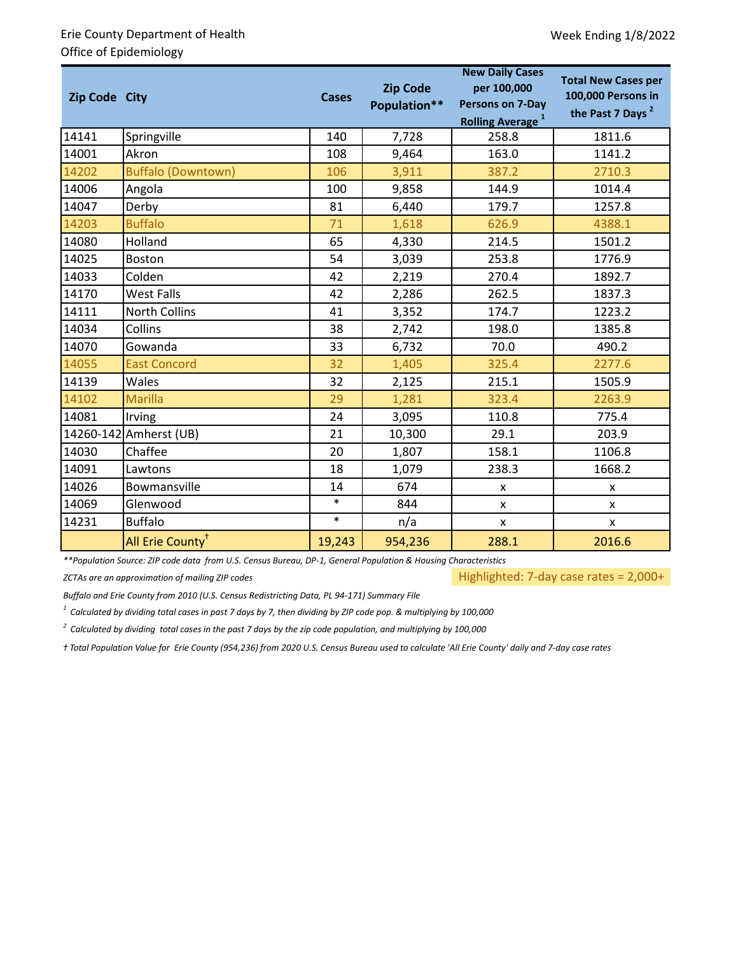### Erie County Department of Health Office of Epidemiology

| Zip Code City |                              | <b>Zip Code</b><br><b>Cases</b><br>Population** |         | <b>New Daily Cases</b><br>per 100,000<br><b>Persons on 7-Day</b><br><b>Rolling Average</b> <sup>1</sup> | <b>Total New Cases per</b><br>100,000 Persons in<br>the Past 7 Days <sup>2</sup> |  |
|---------------|------------------------------|-------------------------------------------------|---------|---------------------------------------------------------------------------------------------------------|----------------------------------------------------------------------------------|--|
| 14141         | Springville                  | 140                                             | 7,728   | 258.8                                                                                                   | 1811.6                                                                           |  |
| 14001         | Akron                        | 108                                             | 9,464   | 163.0                                                                                                   | 1141.2                                                                           |  |
| 14202         | <b>Buffalo (Downtown)</b>    | 106                                             | 3,911   | 387.2                                                                                                   | 2710.3                                                                           |  |
| 14006         | Angola                       | 100                                             | 9,858   | 144.9                                                                                                   | 1014.4                                                                           |  |
| 14047         | Derby                        | 81                                              | 6,440   | 179.7                                                                                                   | 1257.8                                                                           |  |
| 14203         | <b>Buffalo</b>               | 71                                              | 1,618   | 626.9                                                                                                   | 4388.1                                                                           |  |
| 14080         | Holland                      | 65                                              | 4,330   | 214.5                                                                                                   | 1501.2                                                                           |  |
| 14025         | Boston                       | 54                                              | 3,039   | 253.8                                                                                                   | 1776.9                                                                           |  |
| 14033         | Colden                       | 42                                              | 2,219   | 270.4                                                                                                   | 1892.7                                                                           |  |
| 14170         | West Falls                   | 42                                              | 2,286   | 262.5                                                                                                   | 1837.3                                                                           |  |
| 14111         | <b>North Collins</b>         | 41                                              | 3,352   | 174.7                                                                                                   | 1223.2                                                                           |  |
| 14034         | Collins                      | 38                                              | 2,742   | 198.0                                                                                                   | 1385.8                                                                           |  |
| 14070         | Gowanda                      | 33                                              | 6,732   | 70.0                                                                                                    | 490.2                                                                            |  |
| 14055         | <b>East Concord</b>          | 32                                              | 1,405   | 325.4                                                                                                   | 2277.6                                                                           |  |
| 14139         | Wales                        | 32                                              | 2,125   | 215.1                                                                                                   | 1505.9                                                                           |  |
| 14102         | <b>Marilla</b>               | 29                                              | 1,281   | 323.4                                                                                                   | 2263.9                                                                           |  |
| 14081         | Irving                       | 24                                              | 3,095   | 110.8                                                                                                   | 775.4                                                                            |  |
|               | 14260-142 Amherst (UB)       | 21                                              | 10,300  | 29.1                                                                                                    | 203.9                                                                            |  |
| 14030         | Chaffee                      | 20                                              | 1,807   | 158.1                                                                                                   | 1106.8                                                                           |  |
| 14091         | Lawtons                      | 18                                              | 1,079   | 238.3                                                                                                   | 1668.2                                                                           |  |
| 14026         | Bowmansville                 | 14                                              | 674     | X                                                                                                       | X                                                                                |  |
| 14069         | Glenwood                     | $\ast$                                          | 844     | $\mathsf{x}$                                                                                            | $\mathsf{x}$                                                                     |  |
| 14231         | <b>Buffalo</b>               | $\ast$                                          | n/a     | X                                                                                                       | X                                                                                |  |
|               | All Erie County <sup>+</sup> | 19,243                                          | 954,236 | 288.1                                                                                                   | 2016.6                                                                           |  |

*\*\*Population Source: ZIP code data from U.S. Census Bureau, DP-1, General Population & Housing Characteristics*

*ZCTAs are an approximation of mailing ZIP codes*

Highlighted: 7-day case rates = 2,000+

*Buffalo and Erie County from 2010 (U.S. Census Redistricting Data, PL 94-171) Summary File*

*1 Calculated by dividing total cases in past 7 days by 7, then dividing by ZIP code pop. & multiplying by 100,000*

*2 Calculated by dividing total cases in the past 7 days by the zip code population, and multiplying by 100,000*

*ⴕ Total Population Value for Erie County (954,236) from 2020 U.S. Census Bureau used to calculate 'All Erie County' daily and 7-day case rates*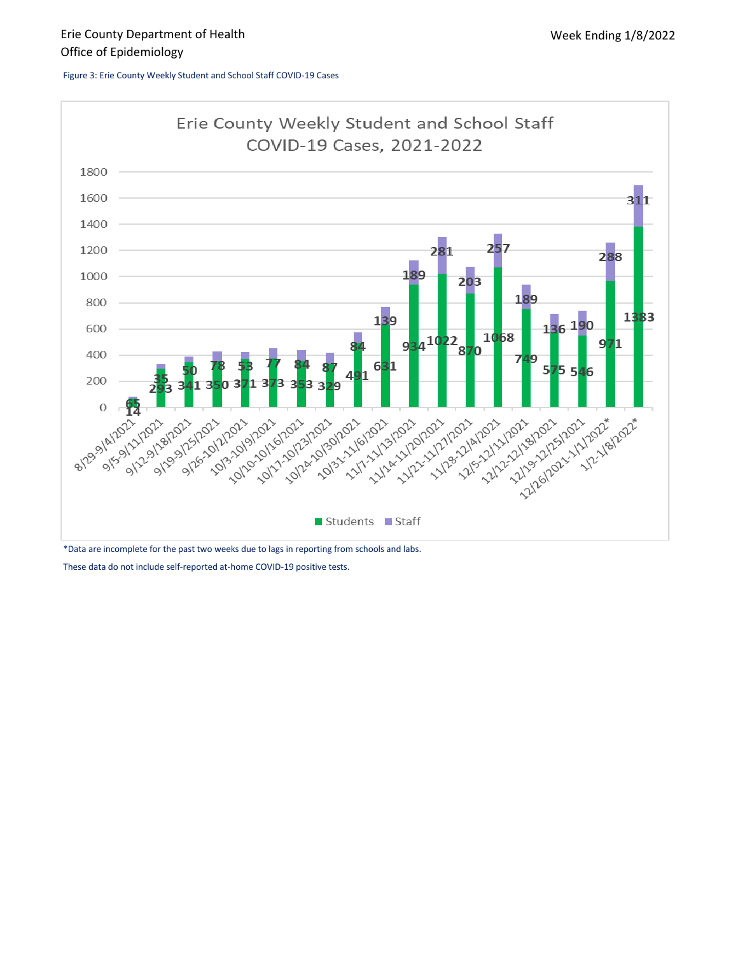Figure 3: Erie County Weekly Student and School Staff COVID-19 Cases



\*Data are incomplete for the past two weeks due to lags in reporting from schools and labs.

These data do not include self-reported at-home COVID-19 positive tests.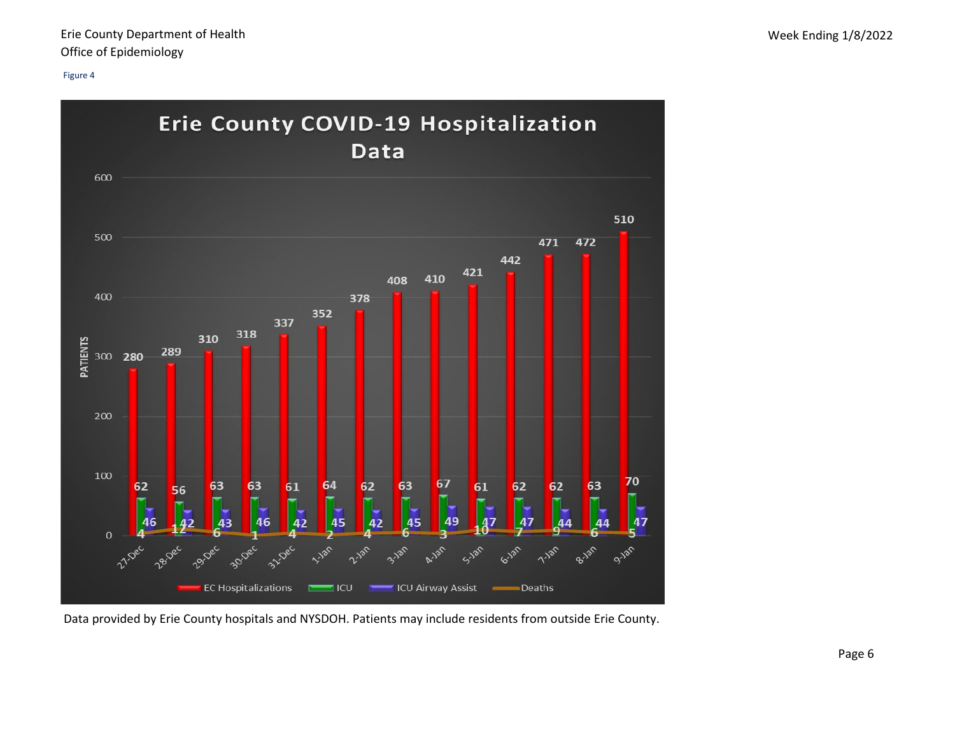

Data provided by Erie County hospitals and NYSDOH. Patients may include residents from outside Erie County.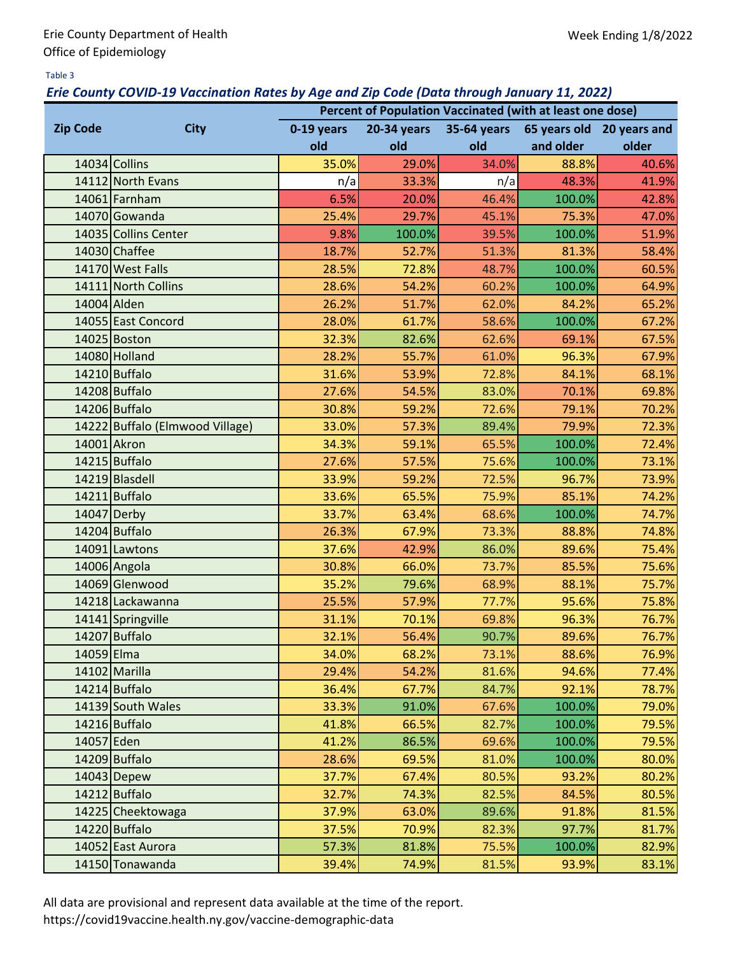#### Table 3

#### *Erie County COVID-19 Vaccination Rates by Age and Zip Code (Data through January 11, 2022)*

|                 | Percent of Population Vaccinated (with at least one dose) |            |                    |             |                           |       |  |  |  |  |
|-----------------|-----------------------------------------------------------|------------|--------------------|-------------|---------------------------|-------|--|--|--|--|
| <b>Zip Code</b> | <b>City</b>                                               | 0-19 years | <b>20-34 years</b> | 35-64 years | 65 years old 20 years and |       |  |  |  |  |
|                 |                                                           | old        | old                | old         | and older                 | older |  |  |  |  |
|                 | 14034 Collins                                             | 35.0%      | 29.0%              | 34.0%       | 88.8%                     | 40.6% |  |  |  |  |
|                 | 14112 North Evans                                         | n/a        | 33.3%              | n/a         | 48.3%                     | 41.9% |  |  |  |  |
|                 | 14061 Farnham                                             | 6.5%       | 20.0%              | 46.4%       | 100.0%                    | 42.8% |  |  |  |  |
|                 | 14070 Gowanda                                             | 25.4%      | 29.7%              | 45.1%       | 75.3%                     | 47.0% |  |  |  |  |
|                 | 14035 Collins Center                                      | 9.8%       | 100.0%             | 39.5%       | 100.0%                    | 51.9% |  |  |  |  |
|                 | 14030 Chaffee                                             | 18.7%      | 52.7%              | 51.3%       | 81.3%                     | 58.4% |  |  |  |  |
|                 | 14170 West Falls                                          | 28.5%      | 72.8%              | 48.7%       | 100.0%                    | 60.5% |  |  |  |  |
|                 | 14111 North Collins                                       | 28.6%      | 54.2%              | 60.2%       | 100.0%                    | 64.9% |  |  |  |  |
|                 | 14004 Alden                                               | 26.2%      | 51.7%              | 62.0%       | 84.2%                     | 65.2% |  |  |  |  |
|                 | 14055 East Concord                                        | 28.0%      | 61.7%              | 58.6%       | 100.0%                    | 67.2% |  |  |  |  |
|                 | 14025 Boston                                              | 32.3%      | 82.6%              | 62.6%       | 69.1%                     | 67.5% |  |  |  |  |
|                 | 14080 Holland                                             | 28.2%      | 55.7%              | 61.0%       | 96.3%                     | 67.9% |  |  |  |  |
|                 | 14210 Buffalo                                             | 31.6%      | 53.9%              | 72.8%       | 84.1%                     | 68.1% |  |  |  |  |
|                 | 14208 Buffalo                                             | 27.6%      | 54.5%              | 83.0%       | 70.1%                     | 69.8% |  |  |  |  |
|                 | 14206 Buffalo                                             | 30.8%      | 59.2%              | 72.6%       | 79.1%                     | 70.2% |  |  |  |  |
|                 | 14222 Buffalo (Elmwood Village)                           | 33.0%      | 57.3%              | 89.4%       | 79.9%                     | 72.3% |  |  |  |  |
|                 | 14001 Akron                                               | 34.3%      | 59.1%              | 65.5%       | 100.0%                    | 72.4% |  |  |  |  |
|                 | 14215 Buffalo                                             | 27.6%      | 57.5%              | 75.6%       | 100.0%                    | 73.1% |  |  |  |  |
|                 | 14219 Blasdell                                            | 33.9%      | 59.2%              | 72.5%       | 96.7%                     | 73.9% |  |  |  |  |
|                 | 14211 Buffalo                                             | 33.6%      | 65.5%              | 75.9%       | 85.1%                     | 74.2% |  |  |  |  |
|                 | 14047 Derby                                               | 33.7%      | 63.4%              | 68.6%       | 100.0%                    | 74.7% |  |  |  |  |
|                 | 14204 Buffalo                                             | 26.3%      | 67.9%              | 73.3%       | 88.8%                     | 74.8% |  |  |  |  |
|                 | 14091 Lawtons                                             | 37.6%      | 42.9%              | 86.0%       | 89.6%                     | 75.4% |  |  |  |  |
|                 | 14006 Angola                                              | 30.8%      | 66.0%              | 73.7%       | 85.5%                     | 75.6% |  |  |  |  |
|                 | 14069 Glenwood                                            | 35.2%      | 79.6%              | 68.9%       | 88.1%                     | 75.7% |  |  |  |  |
|                 | 14218 Lackawanna                                          | 25.5%      | 57.9%              | 77.7%       | 95.6%                     | 75.8% |  |  |  |  |
|                 | 14141 Springville                                         | 31.1%      | 70.1%              | 69.8%       | 96.3%                     | 76.7% |  |  |  |  |
|                 | 14207 Buffalo                                             | 32.1%      | 56.4%              | 90.7%       | 89.6%                     | 76.7% |  |  |  |  |
| 14059 Elma      |                                                           | 34.0%      | 68.2%              | 73.1%       | 88.6%                     | 76.9% |  |  |  |  |
|                 | 14102 Marilla                                             | 29.4%      | 54.2%              | 81.6%       | 94.6%                     | 77.4% |  |  |  |  |
|                 | 14214 Buffalo                                             | 36.4%      | 67.7%              | 84.7%       | 92.1%                     | 78.7% |  |  |  |  |
|                 | 14139 South Wales                                         | 33.3%      | 91.0%              | 67.6%       | 100.0%                    | 79.0% |  |  |  |  |
|                 | 14216 Buffalo                                             | 41.8%      | 66.5%              | 82.7%       | 100.0%                    | 79.5% |  |  |  |  |
| 14057 Eden      |                                                           | 41.2%      | 86.5%              | 69.6%       | 100.0%                    | 79.5% |  |  |  |  |
|                 | 14209 Buffalo                                             | 28.6%      | 69.5%              | 81.0%       | 100.0%                    | 80.0% |  |  |  |  |
|                 | $14043$ Depew                                             | 37.7%      | 67.4%              | 80.5%       | 93.2%                     | 80.2% |  |  |  |  |
|                 | 14212 Buffalo                                             | 32.7%      | 74.3%              | 82.5%       | 84.5%                     | 80.5% |  |  |  |  |
|                 | 14225 Cheektowaga                                         | 37.9%      | 63.0%              | 89.6%       | 91.8%                     | 81.5% |  |  |  |  |
|                 | 14220 Buffalo                                             | 37.5%      | 70.9%              | 82.3%       | 97.7%                     | 81.7% |  |  |  |  |
|                 | 14052 East Aurora                                         | 57.3%      | 81.8%              | 75.5%       | 100.0%                    | 82.9% |  |  |  |  |
|                 | 14150 Tonawanda                                           | 39.4%      | 74.9%              | 81.5%       | 93.9%                     | 83.1% |  |  |  |  |

All data are provisional and represent data available at the time of the report.

https://covid19vaccine.health.ny.gov/vaccine-demographic-data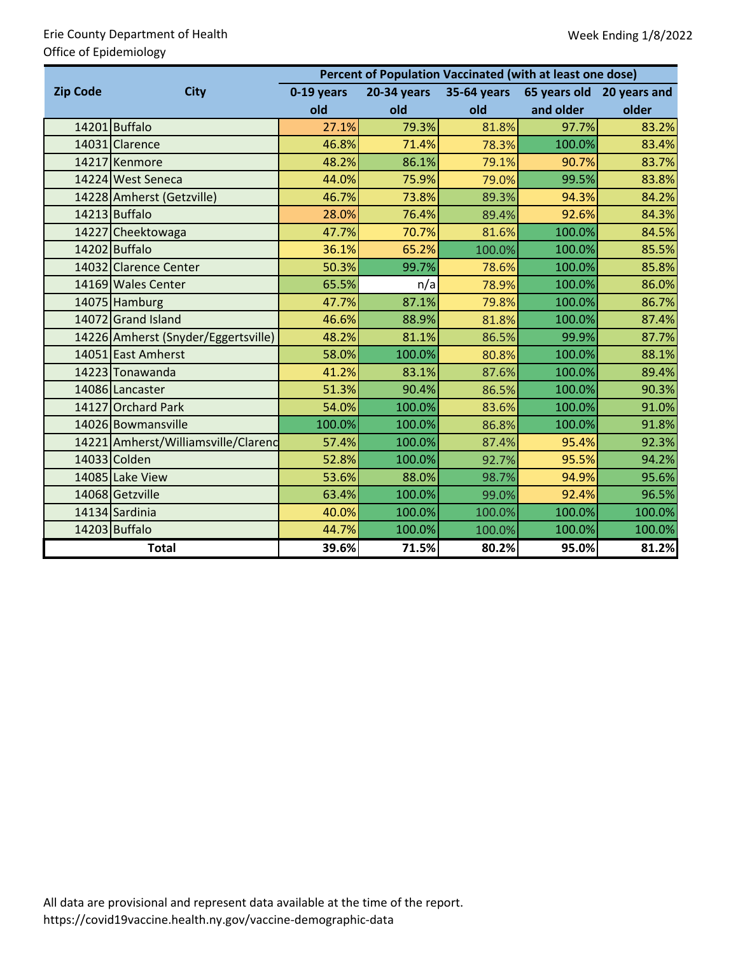### Erie County Department of Health Office of Epidemiology

|                 |                                     | Percent of Population Vaccinated (with at least one dose) |                    |             |           |                           |  |  |  |  |  |
|-----------------|-------------------------------------|-----------------------------------------------------------|--------------------|-------------|-----------|---------------------------|--|--|--|--|--|
| <b>Zip Code</b> | <b>City</b>                         | 0-19 years                                                | <b>20-34 years</b> | 35-64 years |           | 65 years old 20 years and |  |  |  |  |  |
|                 |                                     | old                                                       | old                | old         | and older | older                     |  |  |  |  |  |
|                 | 14201 Buffalo                       | 27.1%                                                     | 79.3%              | 81.8%       | 97.7%     | 83.2%                     |  |  |  |  |  |
|                 | 14031 Clarence                      | 46.8%                                                     | 71.4%              | 78.3%       | 100.0%    | 83.4%                     |  |  |  |  |  |
|                 | 14217 Kenmore                       | 48.2%                                                     | 86.1%              | 79.1%       | 90.7%     | 83.7%                     |  |  |  |  |  |
|                 | 14224 West Seneca                   | 44.0%                                                     | 75.9%              | 79.0%       | 99.5%     | 83.8%                     |  |  |  |  |  |
|                 | 14228 Amherst (Getzville)           | 46.7%                                                     | 73.8%              | 89.3%       | 94.3%     | 84.2%                     |  |  |  |  |  |
|                 | 14213 Buffalo                       | 28.0%                                                     | 76.4%              | 89.4%       | 92.6%     | 84.3%                     |  |  |  |  |  |
|                 | 14227 Cheektowaga                   | 47.7%                                                     | 70.7%              | 81.6%       | 100.0%    | 84.5%                     |  |  |  |  |  |
|                 | 14202 Buffalo                       | 36.1%                                                     | 65.2%              | 100.0%      | 100.0%    | 85.5%                     |  |  |  |  |  |
|                 | 14032 Clarence Center               | 50.3%                                                     | 99.7%              | 78.6%       | 100.0%    | 85.8%                     |  |  |  |  |  |
|                 | 14169 Wales Center                  | 65.5%                                                     | n/a                | 78.9%       | 100.0%    | 86.0%                     |  |  |  |  |  |
|                 | 14075 Hamburg                       | 47.7%                                                     | 87.1%              | 79.8%       | 100.0%    | 86.7%                     |  |  |  |  |  |
|                 | 14072 Grand Island                  | 46.6%                                                     | 88.9%              | 81.8%       | 100.0%    | 87.4%                     |  |  |  |  |  |
|                 | 14226 Amherst (Snyder/Eggertsville) | 48.2%                                                     | 81.1%              | 86.5%       | 99.9%     | 87.7%                     |  |  |  |  |  |
|                 | 14051 East Amherst                  | 58.0%                                                     | 100.0%             | 80.8%       | 100.0%    | 88.1%                     |  |  |  |  |  |
|                 | 14223 Tonawanda                     | 41.2%                                                     | 83.1%              | 87.6%       | 100.0%    | 89.4%                     |  |  |  |  |  |
|                 | 14086 Lancaster                     | 51.3%                                                     | 90.4%              | 86.5%       | 100.0%    | 90.3%                     |  |  |  |  |  |
|                 | 14127 Orchard Park                  | 54.0%                                                     | 100.0%             | 83.6%       | 100.0%    | 91.0%                     |  |  |  |  |  |
|                 | 14026 Bowmansville                  | 100.0%                                                    | 100.0%             | 86.8%       | 100.0%    | 91.8%                     |  |  |  |  |  |
|                 | 14221 Amherst/Williamsville/Clarenc | 57.4%                                                     | 100.0%             | 87.4%       | 95.4%     | 92.3%                     |  |  |  |  |  |
|                 | 14033 Colden                        | 52.8%                                                     | 100.0%             | 92.7%       | 95.5%     | 94.2%                     |  |  |  |  |  |
|                 | 14085 Lake View                     | 53.6%                                                     | 88.0%              | 98.7%       | 94.9%     | 95.6%                     |  |  |  |  |  |
|                 | 14068 Getzville                     | 63.4%                                                     | 100.0%             | 99.0%       | 92.4%     | 96.5%                     |  |  |  |  |  |
|                 | 14134 Sardinia                      | 40.0%                                                     | 100.0%             | 100.0%      | 100.0%    | 100.0%                    |  |  |  |  |  |
|                 | 14203 Buffalo                       | 44.7%                                                     | 100.0%             | 100.0%      | 100.0%    | 100.0%                    |  |  |  |  |  |
|                 | <b>Total</b>                        | 39.6%                                                     | 71.5%              | 80.2%       | 95.0%     | 81.2%                     |  |  |  |  |  |